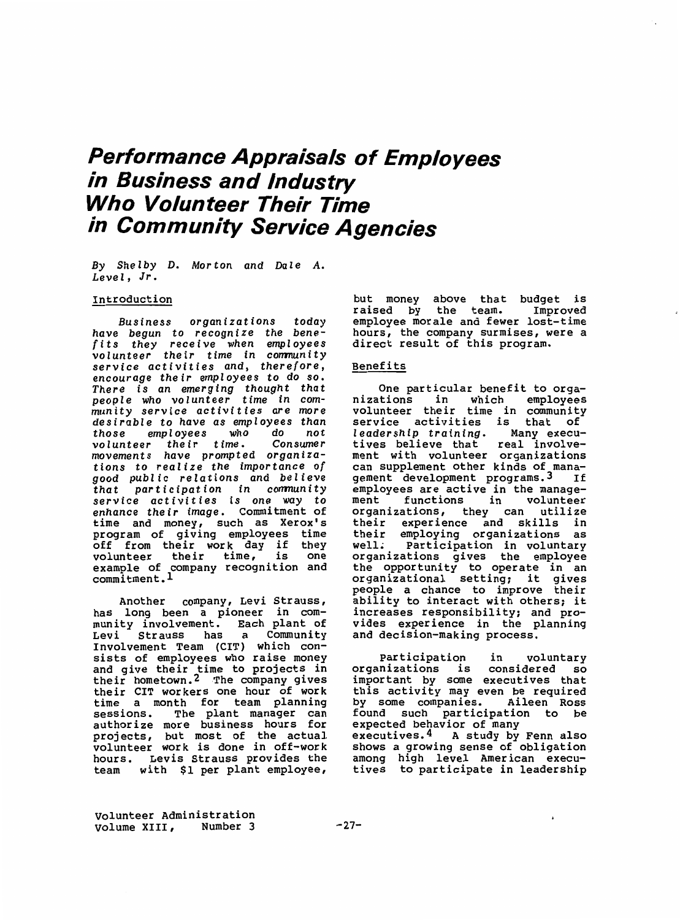# **Performance Appraisals of Employees in Business and Industry Who Volunteer Their Time in Community Service Agencies**

By Shelby D. Morton and Dale A. Level, Jr.

#### Introduction

Business organizations today have begun to recognize the benefits they receive when employee volunteer their time in communit service activities and, therefore, encourage their employees to do so. There is an emerging thought tha people who volunteer time in community service activities are more desirable to have as employees than<br>those employees who do not those employees who do not volunteer their time. movements have prompted organizations to realize the importance of good public relations and believe that participation in communit service activities is one way to enhance their image. Commitment of time and money, such as Xerox's program of giving employees time off from their work day if<br>volunteer their time, is volunteer their time, is one example of company recognition and commitment.!

Another company, Levi Strauss, has long been a pioneer in community involvement. Each plant of Levi Strauss has a Community Involvement Team {CIT) which consists of employees who raise money and give their time to projects in their hometown.<sup>2</sup> The company give their CIT workers one hour of work time a month for team planning sessions. The plant manager can authorize more business hours for projects, but most of the actua volunteer work is done in off-wor hours. Levis Strauss provides the team with \$1 per plant employee,

but money above that budget is raised by the team. Improve employee morale and fewer lost-time hours, the company surmises, were a direct result of this program.

### Benefits

One particular benefit to organizations in which employee volunteer their time in community service activities is that of leadership training. Many executives believe that real involvement with volunteer organizations can supplement other kinds of management development programs. 3 If employees are active in the management functions in volunteer organizations, they can utilize their experience and skills in their employing organizations as well. Participation in volunta organizations gives the employe the opportunity to operate in an organizational setting: it gives people a chance to improve their ability to interact with others: it increases responsibility: and provides experience in the planning and decision-making process.

Participation in volunta organizations is considered so important by some executives tha this activity may even be requir $\epsilon$ by some companies. Aileen Ross found such participation to be expected behavior of many executives.<sup>4</sup> A study by Fenn also shows a growing sense of obligati among high level American executives to participate in leadership

 $\mathbf{r}$ 

Volunteer Administration<br>Volume XIII, Number 3 Volume XIII,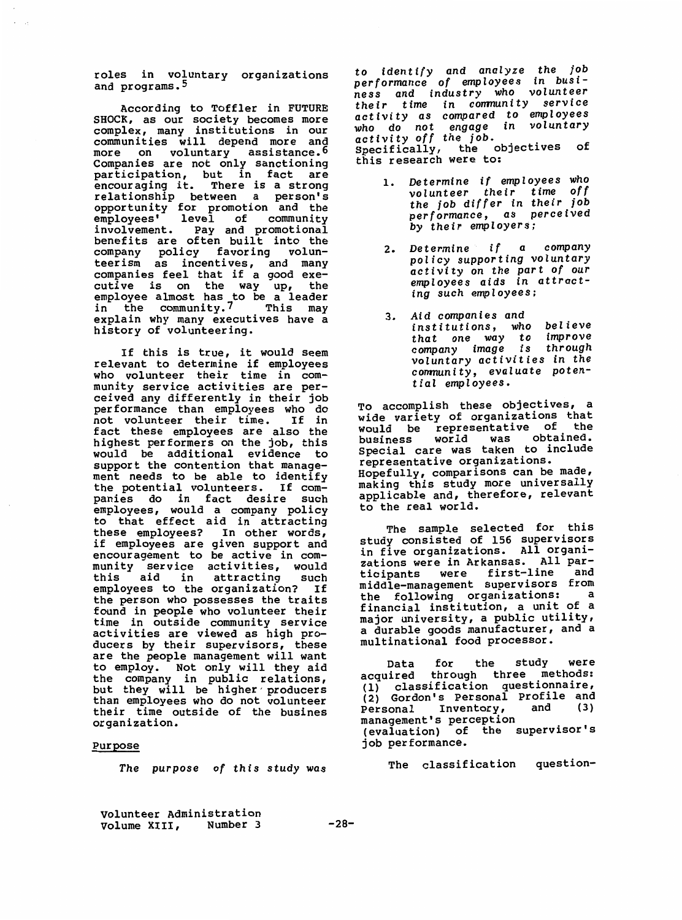roles in voluntary organizations and programs.5

According to Toffler in FUTURE SHOCK, as our society becomes more complex, many institutions in our communities will depend more and more on voluntary assistand Companies are not only sanction: participation, but in fact are encouraging it. There is a strong relationship between a person opportunity for promotion and the employees' level of community<br>involvement, Pay and promotional involvement. Pay and promotion benefits are often built into the company policy favoring volunteerism as incentives, and many companies feel that if a good executive is on the way up, the employee almost has to be a leade in the community. 7 This may explain why many executives have a history of volunteering.

If this is true, it would seem relevant to determine if employees who volunteer their time in community service activities are per ceived any differently in their job performance than employees who do<br>not volunteer their time. If in not volunteer their time. fact these employees are also the highest performers on the job, thi would be additional evidence to support the contention that management needs to be able to identify the potential volunteers. If companies do in fact desire such employees, would a company policy to that effect aid in attract these employees? In other words if employees are given support and encouragement to be active in community service activities, would this aid in attracting such employees to the organization? If the person who possesses the traits found in people who volunteer their time in outside community service activities are viewed as high producers by their supervisors, thes are the people management will want to employ. Not only will they aid the company in public relations, but they will be higher produce than employees who do not volunte their time outside of the busines organization.

## Purpose

*The purpose of this study was* 

*to* identify and analyze *the job*  performance *of* employees in busi- *ness and industry who* volunteer *their* time in conmunity service activity as compared *to employees*  who do not engage in voluntar activity *off the job.* Specifically, the objectives of this research were to:

- 1. *Determine if employees who*  volunteer *their* time *off the job differ in their job*  performance, as perceived *by their employers;*
- 2. *Determine if* a company policy supporting voluntary *activity* on *the* part *of* our *employees* aids in *attracting* such *employees;*
- 3. *Aid* companies and institutions, *who* believe *that* one *way* to improve company *image* is *through*  voluntary activities *in the*  conmun *i ty,* evaluate potential employees.

To accomplish these objectives, a wide variety of organizations that would be representative of the business world was obtaine Special care was destanced.<br>Special care was taken to include representative organizations. Hopefully, comparisons can be made, making this study more universa applicable and, therefore, relevant to the real world.

The sample selected for thi study consisted of 156 supervis in five organizations. All organizations were in Arkansas. All participants were first-line and middle-management supervisors from the following organizations: a financial institution, a unit of a major university, a public utility, a durable goods manufacturer, and a multinational food processor.

Data for the study were acquired through three methods: (1) classification questionnaire, (2) Gordon's Personal Profile and Personal Inventory, management's perception (evaluation) of the supervisor's job performance.

The classification question-

Volunteer Administration Volume **XIII,** Number 3 **-28-**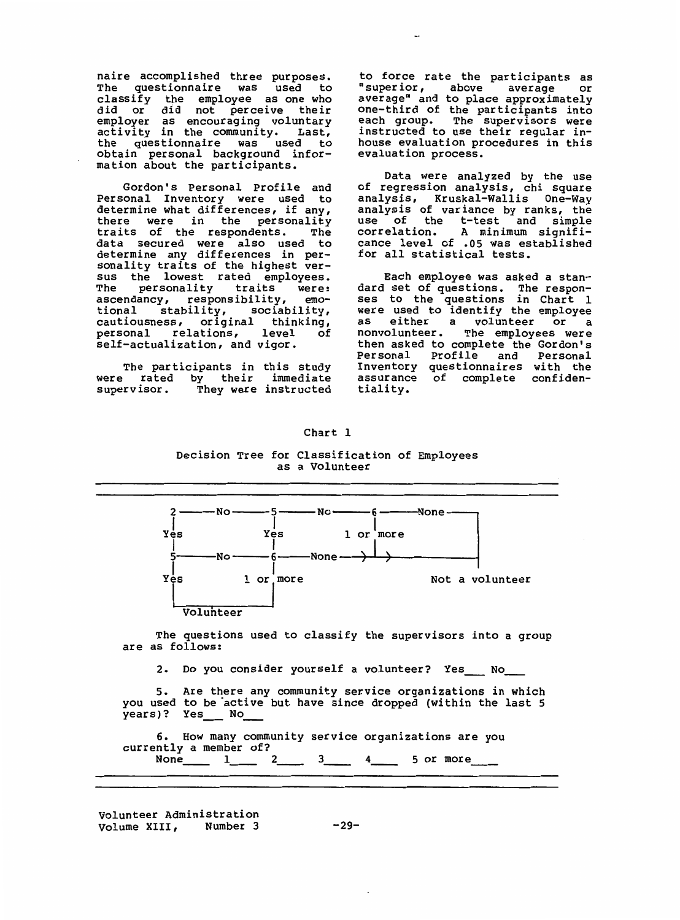naire accomplished three purposes. The questionnaire was used to classify the employee as one who did or did not perceive thei employer as encouraging volunta activity in the community. Last, the questionnaire was used to obtain personal background info mation about the participa

Gordon's Personal Profile and Personal Inventory were used to determine what differences, if any, there were in the personal traits of the respondents. The data secured were also used to determine any differences in personality traits of the highest versus the lowest rated employees. The personality traits were: ascendancy, responsibility, emotional stability, sociability, cautiousness, original thinking, personal relations, level self-actualization, and vigor.

The participants in this study were rated by their immediate<br>supervisor. They were instructed They were instructed to force rate the participants as<br>"superior, above average or "superior, above average average" and to place approximately one-third of the participants into each group. The supervisors were instructed to use their regular inhouse evaluation procedures in this evaluation process.

Data were analyzed by the use of regression analysis, chi square analysis, Kruskal-Wallis One-Way analysis of variance by ranks, the use of the t-test and simpl correlation. A minimum significance level of  $.05$  was establis for all statistical test $\,$ 

Each employee was asked a standard set of questions. The respo ses to the questions in Chart 1 were used to identify the employee<br>as either a volunteer or a either a volunteer or a nonvolunteer. The employees were then asked to complete the Gordon's Personal Profile and Personal Inventory questionnaires with the assurance of complete confid $\epsilon$ tiality.



Chart 1

Decision Tree for Classification of Employees as a Volunteer

The questions used to classify the supervisors into a group are as follows:

2. Do you consider yourself a volunteer? Yes No

s. Are there any community service organizations in which you used to be active but have since dropped (within the last 5 years)? Yes \_\_ No

6. How many community service organizations are you currently a member of?<br>None 1 2 None  $1 \ 2 \ 3 \ 3 \ 4 \ 5$  or more

volunteer Administration Volume XIII, Number 3 -29-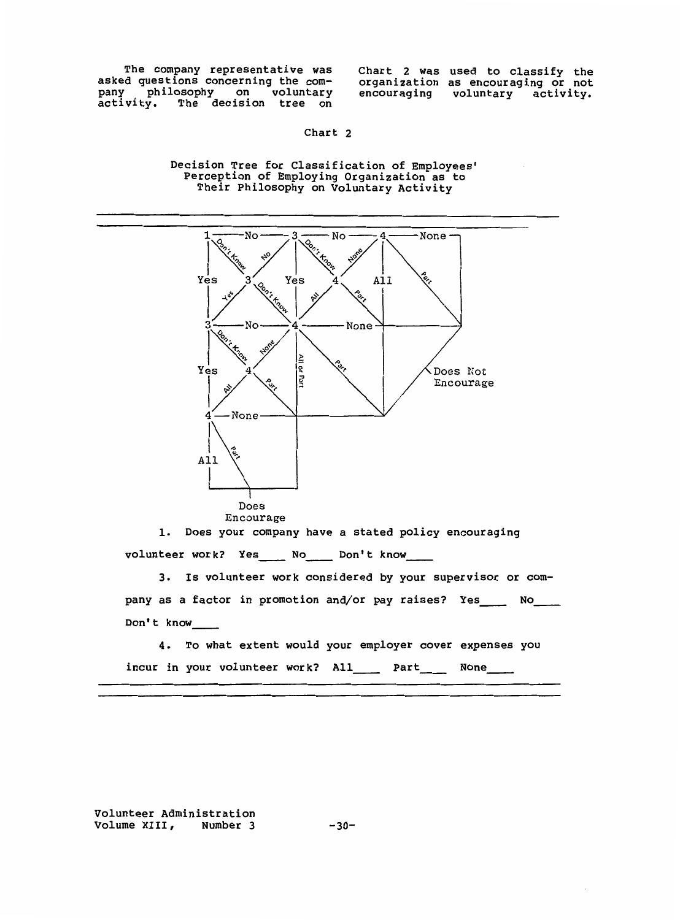The company representative was asked questions concerning the company philosophy on volunta activity. The decision tree on Chart 2 was used to classify the organization as encouraging or not encouraging voluntary activity.

Chart 2

Decision Tree for Classification of Employees' Perception of Employing Organization as to Their Philosophy on Voluntary Activity



volunteer work? Yes\_\_\_\_ No\_\_\_\_ Don't know\_\_\_

3. Is volunteer work considered by your supervisor or company as a factor in promotion and/or pay raises? Yes\_\_\_\_ No\_\_\_ Don't know

4. To what extent would your employer cover expenses you incur in your volunteer work? All\_\_\_\_\_ Part\_\_\_\_ None\_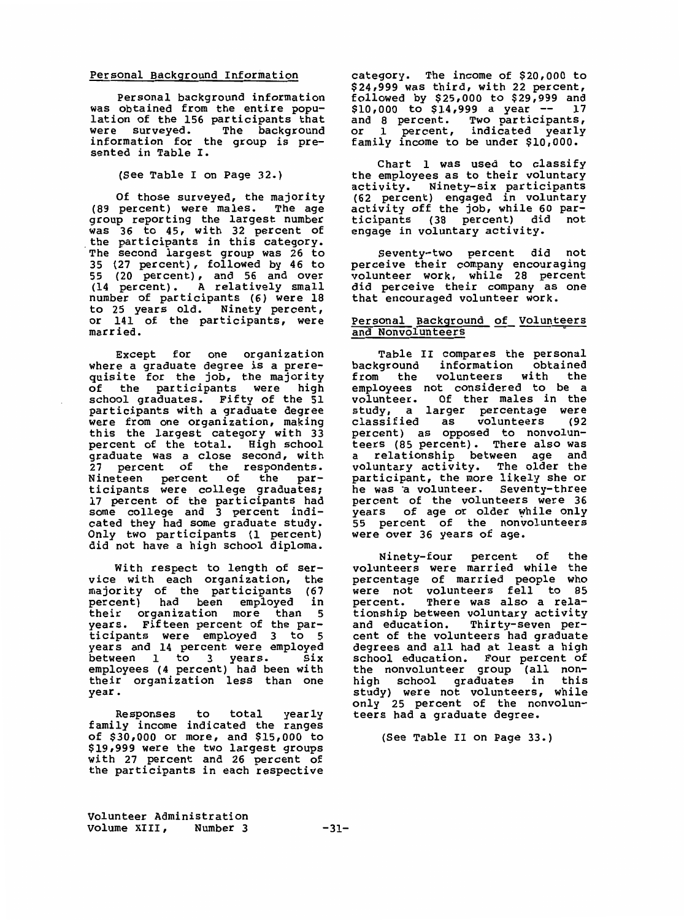### Personal Background Information

Personal background information was obtained from the entire population of the 156 participants that were surveyed. The backgrour information for the group is presented in Table I.

{See Table I on Page 32.)

Of those surveyed, the majority (89 percent) were males. The age group reporting the largest number was 36 to 45, with 32 percent of the participants in this category. The second largest group was 26 to 35 (27 percent), followed by 46 to 55 (20 percent), and 56 and over (14 percent). A relatively small number of participants (6) were 18 to 25 years old. Ninety percent, or 141 of the participants, were married.

Except for one organization where a graduate degree is a prerequisite for the job, the majority of the participants were high school graduates. Fifty of the 51 participants with a graduate degree were from one organization, making th is the largest category with 33 percent of the total. High school graduate was a close second, with 27 percent of the respondents. Nineteen percent of the participants were college graduate 17 percent of the participants had some college and 3 percent indicated they had some graduate study. Only two participants (1 percen did not have a high school diploma

With respect to length of service with each organization, the<br>majority of the participants (67 majority of the participants (67<br>percent) had been emploved in percent) had been employed their organization more than 5 years. Fifteen percent of the participants were employed 3 to 5 years and 14 percent were employe between 1 to 3 years. Six employees (4 percent) had been with their organization less than one year.

Responses to total yearly family income indicated the ranges of \$30,000 or more, and \$15,000 to \$19,999 were the two largest groups with 27 percent and 26 percent of the participants in each respective

category. The income of \$20,000 to \$24,999 was third, with 22 percent, followed by \$25,000 to \$29,999 and<br>\$10,000 to \$14,999 a year -- 17  $$10,000$  to  $$14,999$  a year -and 8 percent. Two participa or 1 percent, indicated yearl family income to be under \$10,000.

Chart 1 was used to classify the employees as to their voluntary activity. Ninety-six participa (62 percent) engaged in volunta activity off the job, while 60 participants (38 percent) did not engage in voluntary activity.

Seventy-two percent did not perceive their company encouragi volunteer work, while 28 percen did perceive their company as one that encouraged volunteer work.

#### Personal Background of Voluntee<br>and Nonvolunteers and Nonvolunteers

Table II compares the personal<br>background information obtained background information obtained<br>from the volunteers with the volunteers with employees not considered to be a volunteer. Of ther males in the study, a larger percentage were  $classified$  as  $volunteers$ percent) as opposed to nonvolunteers (85 percent). There also was a relationship between age and voluntary activity. The older the participant, the more likely she or he was a volunteer. Seventy-three percent of the volunteers were 36 years of age or older while only 55 percent of the nonvolunte were over 36 years of age.

Ninety-four percent of the volunteers were married while the percentage of married people who were not volunteers fell to 85<br>percent. There was also a rela-There was also a relationship between voluntary activity and education. Thirty-seven percent of the volunteers had graduate degrees and all had at least a high school education. Four percent of the nonvolunteer group (all nonhigh school graduates in thi study) were not volunteers, while only 25 percent of the nonvolunteers had a graduate degree.

{See Table II on Page 33.)

Volunteer Administration Volume XIII, Number 3 -31-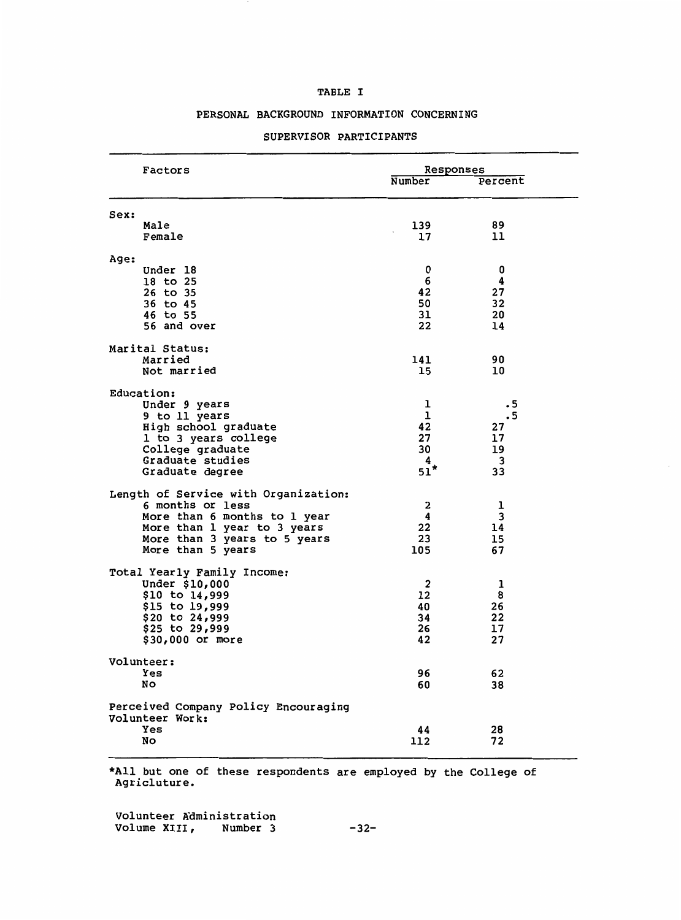## TABLE I

## PERSONAL BACKGROUND INFORMATION CONCERNING

| Factors                                                     | Responses         |                    |  |
|-------------------------------------------------------------|-------------------|--------------------|--|
|                                                             | Number            | Percent            |  |
| Sex:                                                        |                   |                    |  |
| Male<br>Female                                              | 139<br>17         | 89<br>11           |  |
|                                                             |                   |                    |  |
| Age:<br>Under 18                                            | 0                 | 0                  |  |
| 18 to 25                                                    | 6                 | 4                  |  |
| 26 to 35                                                    | 42                | 27                 |  |
| 36 to 45<br>46 to 55                                        | 50<br>31          | 32<br>20           |  |
| 56 and over                                                 | 22                | 14                 |  |
| Marital Status:                                             |                   |                    |  |
| Married                                                     | 141               | 90                 |  |
| Not married                                                 | 15                | 10                 |  |
| Education:                                                  |                   |                    |  |
| Under 9 years                                               | ı<br>$\mathbf{1}$ | $\cdot$ 5          |  |
| 9 to 11 years<br>High school graduate                       | 42                | $\cdot$ 5<br>27    |  |
| 1 to 3 years college                                        | 27                | 17                 |  |
| College graduate                                            | 30                | 19                 |  |
| Graduate studies<br>Graduate degree                         | 4<br>$51*$        | $\mathbf{3}$<br>33 |  |
| Length of Service with Organization:                        |                   |                    |  |
| 6 months or less                                            | 2                 | ı                  |  |
| More than 6 months to 1 year                                | 4                 | 3                  |  |
| More than 1 year to 3 years<br>More than 3 years to 5 years | 22<br>23          | 14<br>15           |  |
| More than 5 years                                           | 105               | 67                 |  |
| Total Yearly Family Income:                                 |                   |                    |  |
| Under \$10,000                                              | $\overline{2}$    | ı                  |  |
| \$10 to 14,999                                              | 12                | 8                  |  |
| \$15 to 19,999<br>\$20 to 24,999                            | 40<br>34          | 26<br>22           |  |
| \$25 to 29,999                                              | 26                | 17                 |  |
| \$30,000 or more                                            | 42                | 27                 |  |
| Volunteer:                                                  |                   |                    |  |
| <b>Yes</b><br>No                                            | 96<br>60          | 62<br>38           |  |
|                                                             |                   |                    |  |
| Perceived Company Policy Encouraging<br>Volunteer Work:     |                   |                    |  |
| Yes                                                         | 44                | 28                 |  |
| No                                                          | 112               | 72                 |  |

## SUPERVISOR PARTICIPANTS

\*All but one of these respondents are employed by the College of Agricluture.

Volunteer Kdministration Volume XIII, Number 3 -32-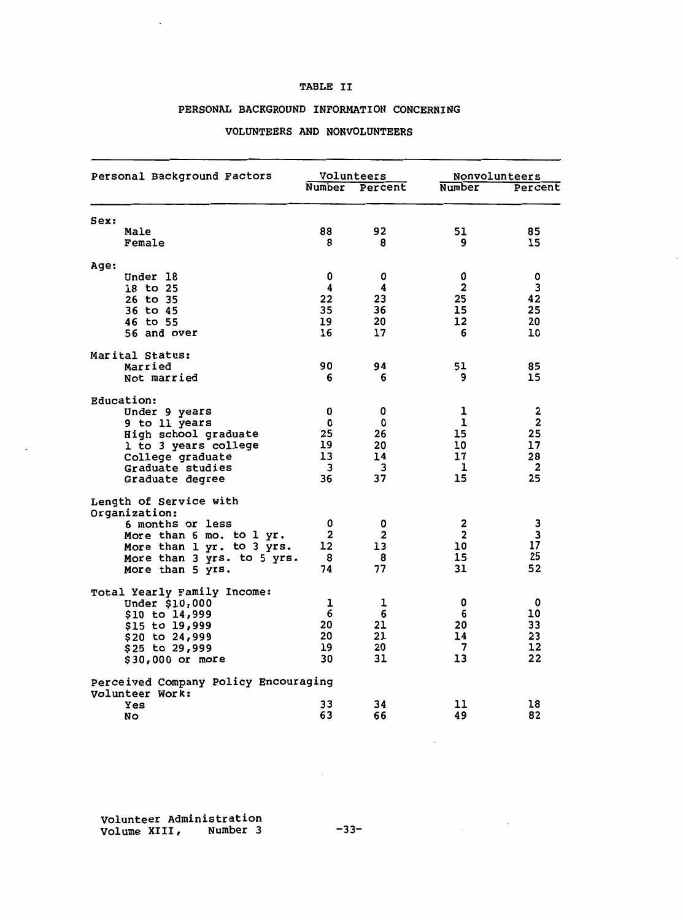## **TABLE** II

## **PERSONAL BACKGROUND INFORMATION CONCERNING**

#### Personal Background Factors **Volunteers** Nonvolunteers **Nonvolunteers** Nonvolunteers Number Percent Sex: Male 92 Female 8 8 8 Age: Under 18 0 0<br>18 to 25 4 4 18 to 25 4 4<br>26 to 35 22 23 26 to 35 22 23 36 to 45 35 36 46 to 55 19 20<br>56 and over 16 17 56 and over Mar ital Status: Married 90 94<br>Not married 6 6 Not married Education: Under 9 years 0 0 9 to 11 years 10 to 10 years 10 to 10 years 10 years 10 years 10 years 10 years 10 years 10 years 10 years 10 years 10 years 10 years 10 years 10 years 10 years 10 years 10 years 10 years 10 years 10 years 10 years 10 year High school graduate 25 26 1 to 3 years college 19 20<br>College graduate 13 14 College graduate 13 14 Graduate studies and 3 3 3 Graduate degree 36 37 Length of Service with Organization: 6 months or less 0 0 0<br>More than 6 mo. to 1 yr. 2 2 2 More than 6 mo. to 1 yr. 2 2<br>More than 1 yr. to 3 yrs. 12 13 More than 1 yr. to 3 yrs. 12 13 More than 3 yrs. to 5 yrs. 8 8 More than 5  $\overline{y}$ rs. 74 77 Total Yearly Family Income: Under \$10,000 1 1 1<br>\$10 to 14,999 6 6 \$10 to 14,999 6 6 \$15 to 19,999 20 21<br>\$20 to 24,999 20 21 \$20 to 24,999 20 21<br>\$25 to 29,999 20 19 20 \$25 to 29,999 19 20<br>\$30,000 or more 30 31 \$30,000 or more Perceived Company Policy Encouraging Volunteer Work: Yes **NO**  33 34 66 Number 51 85 15 0 0 2 3 25 42 15 25<br>12 20 12 20 10 51 85 15  $\begin{array}{ccc} 1 & & 2 \\ 1 & & 2 \end{array}$  $\frac{1}{15}$  25 15 25<br>10 17 17  $\begin{array}{ccc} 17 & 28 \\ 1 & 2 \end{array}$  $\begin{array}{ccc} & 1 & & 2 \\ 15 & & 25 \end{array}$ 15 25  $\begin{array}{ccc} 2 & & 3 \\ 2 & & 3 \end{array}$ 2 3 10 17<br>15 25 15 25<br>31 52 52  $\begin{matrix}0&&&&0\cr 6&&&&10\end{matrix}$ 6 10<br>20 33 20 33 14 23<br>7 12 12<br>22  $13$ 11 18<br>49 82 82

#### **VOLUNTEERS AND NONVOLUNTEERS**

volunteer Administration Volume XIII, Number 3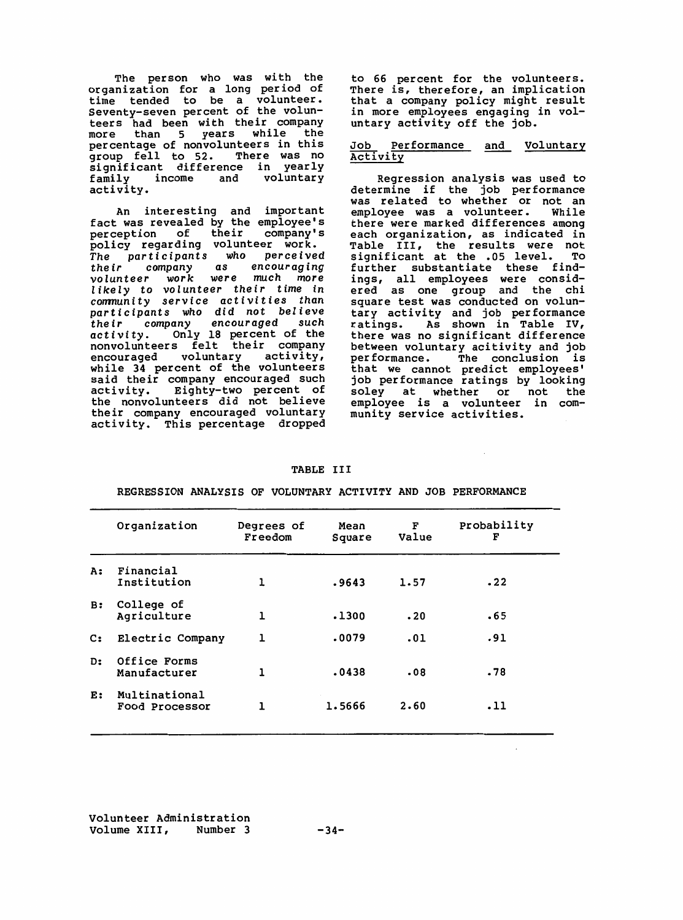The person who was with the organization for a long period of time tended to be a volunte seventy-seven percent of the volunteers had been with their company more than 5 years while the percentage of nonvolunteers in thi group fell to 52. There was no significant difference in yearl family income and voluntary activity.

An interesting and importal fact was revealed by the employee perception of their company' policy regarding volunteer work. *The participants who* perceived *their company as* encouraging volunteer *work* were *much* more *likely to volunteer their time in* comnunity service activities than participants *who* did *not* believe *their company* encouraged such activity. Only 18 percent of the nonvolunteers felt their company encouraged voluntary activity, while 34 percent of the volunteers said their company encouraged such activity. Eighty-two percent of the nonvolunteers did not believ their company encouraged voluntary activity. This percentage dropped to 66 percent for the volunteers. There is, therefore, an implication that a company policy might result in more employees engaging in voluntary activity off the job.

#### <u>Job Performance and Volunta</u> Activity

Regression analysis was used to determine if the job performan was related to whether or not an employee was a volunteer. While there were marked differences among each organization, as indicated in Table III, the results were not significant at the .05 level. To further substantiate these findings, all employees were consi ered as one group and the chi square test was conducted on voluntary activity and job performan ratings. As shown in Table IV, there was no significant difference between voluntary acitivity and job performance. The conclusion is that we cannot predict employee job performance ratings by lookin soley at whether or not the employee is a volunteer in community service activities.

| <b>TABLE</b> |  |
|--------------|--|
|--------------|--|

| Organization                    | Degrees of<br>Freedom | Mean<br>Square | F<br>Value | Probability<br>F |
|---------------------------------|-----------------------|----------------|------------|------------------|
| Financial<br>Institution        | ı                     | .9643          | 1.57       | .22              |
| College of<br>Agriculture       | ı                     | .1300          | .20        | .65              |
| Electric Company                | ı                     | .0079          | .01        | .91              |
| Office Forms<br>Manufacturer    | ı                     | .0438          | .08        | .78              |
| Multinational<br>Food Processor | 1                     | 1.5666         | 2.60       | .11              |
|                                 |                       |                |            |                  |

**REGRESSION ANALYSIS OF VOLUNTARY ACTIVITY AND JOB PERFORMANCE**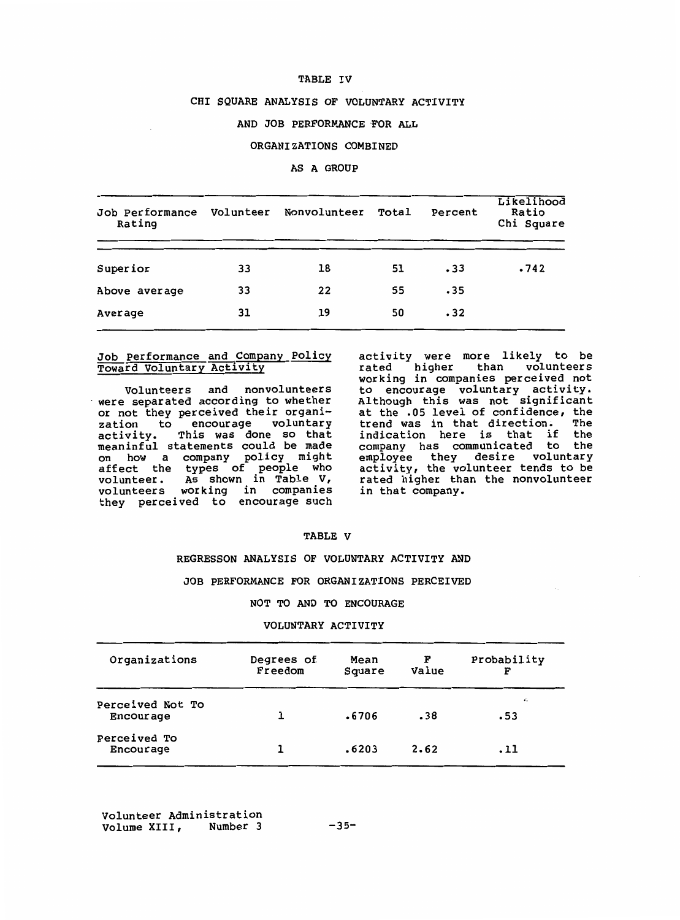## **TABLE IV**

#### CHI **SQUARE ANALYSIS OF VOLUNTARY ACTIVITY**

## AND JOB **PERFORMANCE ·FOR ALL**

## **ORGANIZATIONS COMBINED**

### **AS A GROUP**

| Job Performance<br>Rating | Volunteer | Nonvolunteer | Total | Percent | Likelihood<br>Ratio<br>Chi Square |
|---------------------------|-----------|--------------|-------|---------|-----------------------------------|
| Superior                  | 33        | 18           | 51    | .33     | .742                              |
| Above average             | 33        | 22           | 55    | .35     |                                   |
| Average                   | 31        | 19           | 50    | .32     |                                   |

## Job Performance and Company Policy Toward Voluntary Activity

Volunteers and nonvolunteers • were separated according to whether or not they perceived their organization to encourage volunta activity. This was done so tha meaninful statements could be made on how a company policy might affect the types of people who volunteer. As shown in Table V, volunteers working in companie they perceived to encourage such

activity were more likely to be rated higher than voluntee working in companies perceived not to encourage voluntary activi Although this was not signific at the .05 level of confidence, the trend was in that direction. The indication here is that if the company has communicated to the employee they desire volunta activity, the volunteer tends to be rated higher than the nonvolunteer in that company.

#### **TABLE V**

#### **REGRESSON ANALYSIS OF VOLUNTARY ACTIVITY AND**

## **JOB PERFORMANCE FOR ORGANIZATIONS PERCEIVED**

#### **NOT TO AND TO ENCOURAGE**

#### **VOLUNTARY ACTIVITY**

| Organizations                        | Degrees of<br>Freedom | Mean<br>Square | F<br>Value | Probability<br>F |
|--------------------------------------|-----------------------|----------------|------------|------------------|
| Perceived Not To<br><b>Encourage</b> |                       | .6706          | .38        | ×.<br>.53        |
| Perceived To<br>Encourage            |                       | .6203          | 2.62       | .11              |

Volunteer Administration Volume XIII,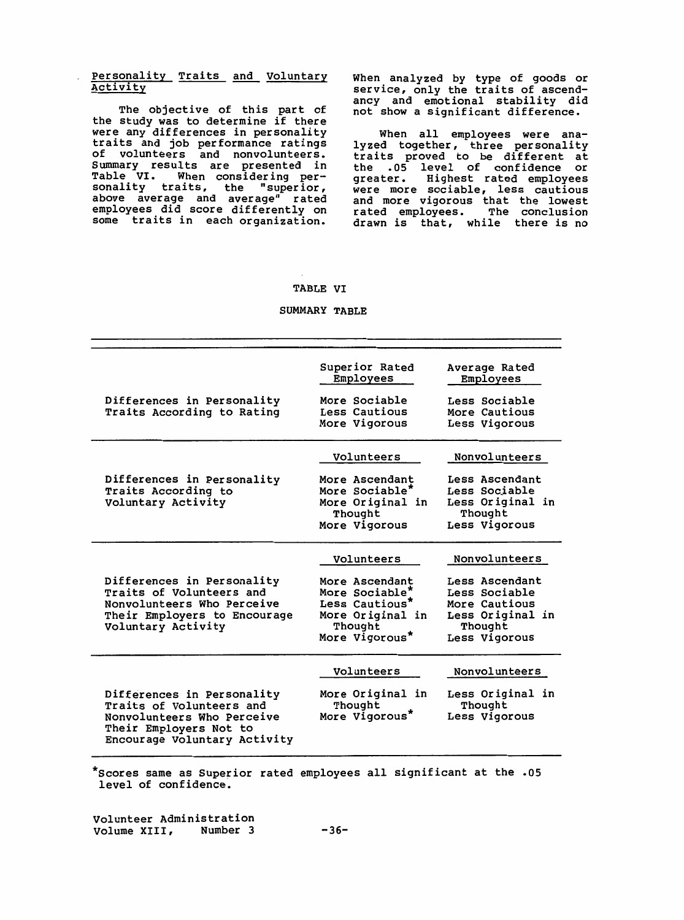## Personality Traits and Voluntary Activity

The objective of this part of the study was to determine if there were any differences in personality traits and job performance rating of volunteers and nonvolunteer Summary results are presented in Table VI. When considering personality traits, the "superior, above average and average" rated employees did score differently on some traits in each organization. When analyzed by type of goods or service, only the traits of ascendancy and emotional stability did not show a significant difference.

When all employees were ana- lyzed together, three personality traits proved to be different at the .os level of confidence or greater. Highest rated employees were more sociable, less cautiou and more vigorous that the lowes rated employees. The conclusion drawn is that, while there is no

#### **TABLE VI**

#### **SUMMARY TABLE**

| Differences in Personality<br>Traits According to Rating                                                                                       | Superior Rated<br>Employees<br>More Sociable<br>Less Cautious<br>More Vigorous                                    | Average Rated<br>Employees<br>Less Sociable<br>More Cautious<br>Less Vigorous                                     |
|------------------------------------------------------------------------------------------------------------------------------------------------|-------------------------------------------------------------------------------------------------------------------|-------------------------------------------------------------------------------------------------------------------|
| Differences in Personality<br>Traits According to<br>Voluntary Activity                                                                        | Volunteers<br>More Ascendant<br>More Sociable*<br>More Original in<br>Thought<br>More Vigorous                    | Nonvolunteers<br>Less Ascendant<br>Less Sociable<br>Less Original in<br>Thought<br>Less Vigorous                  |
| Differences in Personality<br>Traits of Volunteers and<br>Nonvolunteers Who Perceive<br>Their Employers to Encourage<br>Voluntary Activity     | Volunteers<br>More Ascendant<br>More Sociable*<br>Less Cautious*<br>More Original in<br>Thought<br>More Vigorous* | Nonvolunteers<br>Less Ascendant<br>Less Sociable<br>More Cautious<br>Less Original in<br>Thought<br>Less Vigorous |
| Differences in Personality<br>Traits of Volunteers and<br>Nonvolunteers Who Perceive<br>Their Employers Not to<br>Encourage Voluntary Activity | Volunteers<br>More Original in<br>Thought<br>More Vigorous*                                                       | Nonvolunteers<br>Less Original in<br>Thought<br>Less Vigorous                                                     |

\*scores same as Superior rated employees all significant at the .OS level of confidence.

Volunteer Administration Volume XIII, Number 3 -36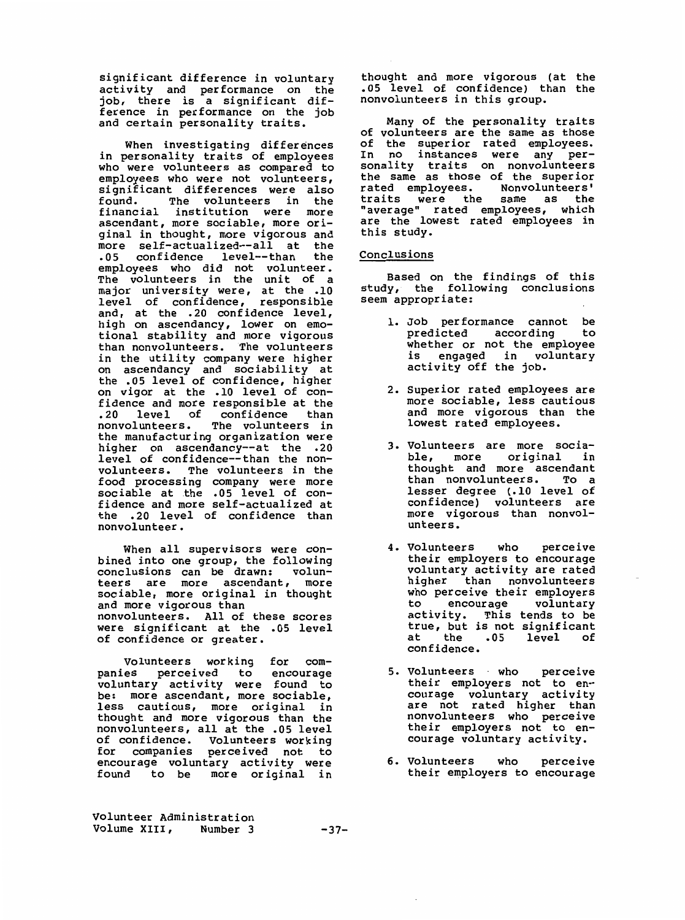significant difference in voluntary activity and performance on the job, there is a significant difference in performance on the job and certain personality traits.

When investigating differences in personality traits of employees who were volunteers as compared to employees who were not voluntee significant differences were als $\,$ found. The volunteers in the financial institution were more ascendant, more sociable, more original in thought, more vigorous and more self-actualized--all at the .05 confidence level--than the employees who did not volunteer. The volunteers in the unit of a major university were, at the .10 level of confidence, responsil and, at the .20 confidence level, high on ascendancy, lower on emotional stability and more vigorou than nonvolunteers. The volunteers in the utility company were highe on ascendancy and sociability at the .05 level of confidence, highe on vigor at the .10 level of confidence and more responsible at the .20 level of confidence than nonvolunteers. The volunteers in the manufacturing organization were higher on ascendancy--at the .20 level of confidence--than the nonvolunteers. The volunteers in the food processing company were more sociable at the .05 level of confidence and more self-actualized at the . 20 level of confidence than nonvolunteer.

When all supervisors were conbined into one group, the following conclusions can be drawn: volunteers are more ascendant, more sociable, more original in thought and more vigorous than nonvolunteers. All of these scores were significant at the . 05 level of confidence or greater.

Volunteers working for companies perceived to encourag voluntary activity were found to be: more ascendant, more sociabl less cautious, more original in thought and more vigorous than the nonvolunteers, all at the .05 level of confidence. Volunteers working for companies perceived not to encourage voluntary activity were found to be more original in

Volunteer Administration Volume XIII, Number 3 -37-

thought and more vigorous (at the . 05 level of confidence) than the nonvolunteers in this group.

Many of the personality traits of volunteers are the same as those of the superior rated employee In no instances were any personality traits on nonvolunte the same as those of the superior rated employees. Nonvolunteers' traits were the same as "average" rated employees, which are the lowest rated employees in this study.

## Conclusions

Based on the findings of thi study, the following conclusio seem appropriate:

- 1. Job performance cannot be predicted according whether or not the employee is engaged in voluntary activity off the job.
- 2. Superior rated employees are more sociable, less cautious and more vigorous than the lowest rated employees.
- 3. Volunteers are more sociable, more original in thought and more ascendant than nonvolunteers. To a lesser degree (.10 level of confidence) volunteers are more vigorous than nonvolunteers.
- 4. Volunteers who perceive their employers to encourage voluntary activity are rated higher than nonvolunteers who perceive their employers<br>to encourage voluntary encourage activity. This tends to be true, but is not significant<br>at the .05 level of level of confidence.
- 5. Volunteers · who perceive their employers not to encourage voluntary activi are not rated higher than nonvolunteers who percei their employers not to encourage voluntary activity.
- 6. Volunteers who perceive their employers to encourage